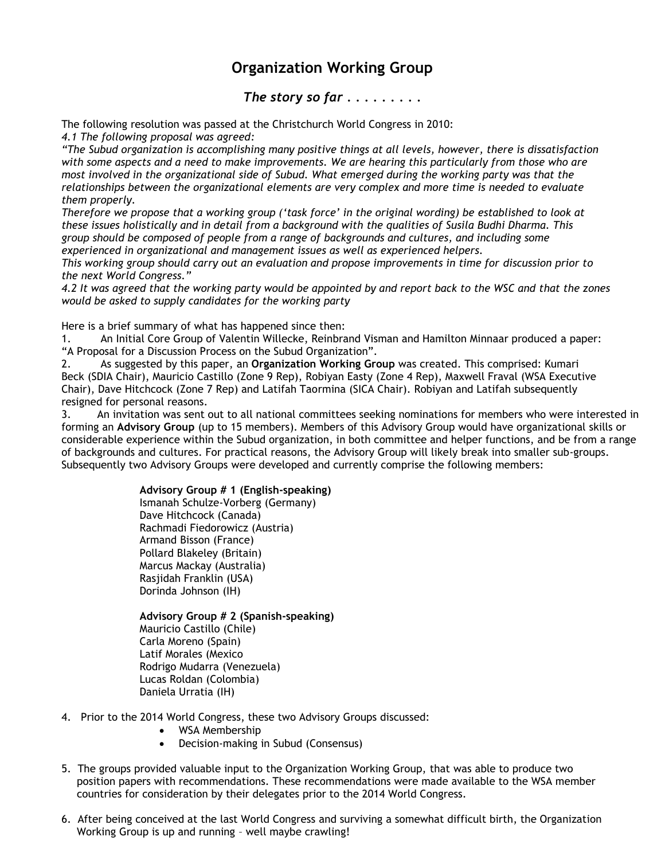## **Organization Working Group**

## *The story so far . . . . . . . . .*

The following resolution was passed at the Christchurch World Congress in 2010:

*4.1 The following proposal was agreed:*

*"The Subud organization is accomplishing many positive things at all levels, however, there is dissatisfaction with some aspects and a need to make improvements. We are hearing this particularly from those who are most involved in the organizational side of Subud. What emerged during the working party was that the relationships between the organizational elements are very complex and more time is needed to evaluate them properly.*

*Therefore we propose that a working group ('task force' in the original wording) be established to look at these issues holistically and in detail from a background with the qualities of Susila Budhi Dharma. This group should be composed of people from a range of backgrounds and cultures, and including some experienced in organizational and management issues as well as experienced helpers.*

*This working group should carry out an evaluation and propose improvements in time for discussion prior to the next World Congress."*

*4.2 It was agreed that the working party would be appointed by and report back to the WSC and that the zones would be asked to supply candidates for the working party*

Here is a brief summary of what has happened since then:

1. An Initial Core Group of Valentin Willecke, Reinbrand Visman and Hamilton Minnaar produced a paper: "A Proposal for a Discussion Process on the Subud Organization".

2. As suggested by this paper, an **Organization Working Group** was created. This comprised: Kumari Beck (SDIA Chair), Mauricio Castillo (Zone 9 Rep), Robiyan Easty (Zone 4 Rep), Maxwell Fraval (WSA Executive Chair), Dave Hitchcock (Zone 7 Rep) and Latifah Taormina (SICA Chair). Robiyan and Latifah subsequently resigned for personal reasons.

3. An invitation was sent out to all national committees seeking nominations for members who were interested in forming an **Advisory Group** (up to 15 members). Members of this Advisory Group would have organizational skills or considerable experience within the Subud organization, in both committee and helper functions, and be from a range of backgrounds and cultures. For practical reasons, the Advisory Group will likely break into smaller sub-groups. Subsequently two Advisory Groups were developed and currently comprise the following members:

## **Advisory Group # 1 (English-speaking)**

Ismanah Schulze-Vorberg (Germany) Dave Hitchcock (Canada) Rachmadi Fiedorowicz (Austria) Armand Bisson (France) Pollard Blakeley (Britain) Marcus Mackay (Australia) Rasjidah Franklin (USA) Dorinda Johnson (IH)

**Advisory Group # 2 (Spanish-speaking)** Mauricio Castillo (Chile) Carla Moreno (Spain) Latif Morales (Mexico Rodrigo Mudarra (Venezuela) Lucas Roldan (Colombia) Daniela Urratia (IH)

- 4. Prior to the 2014 World Congress, these two Advisory Groups discussed:
	- WSA Membership
	- Decision-making in Subud (Consensus)
- 5. The groups provided valuable input to the Organization Working Group, that was able to produce two position papers with recommendations. These recommendations were made available to the WSA member countries for consideration by their delegates prior to the 2014 World Congress.
- 6. After being conceived at the last World Congress and surviving a somewhat difficult birth, the Organization Working Group is up and running – well maybe crawling!